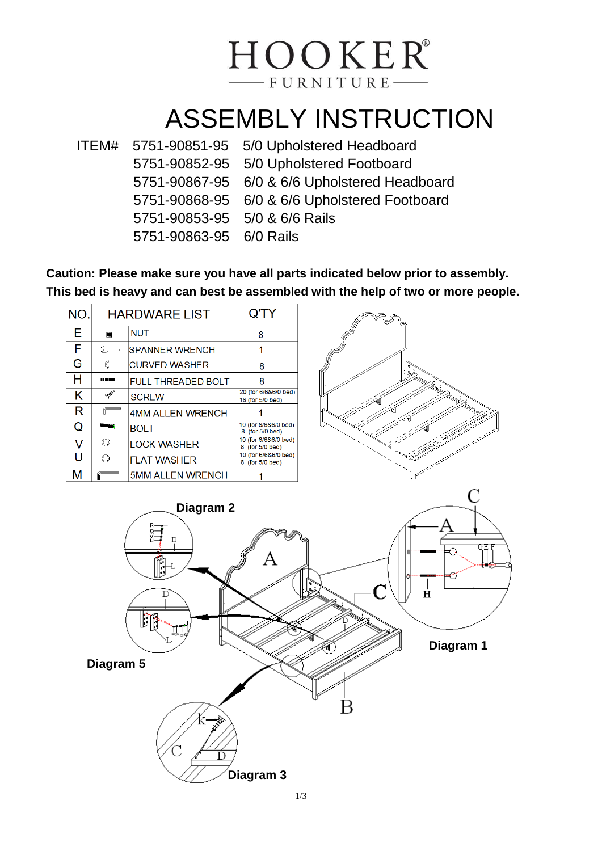## HOOKER® -FURNITURE-

## ASSEMBLY INSTRUCTION

|                               | ITEM# 5751-90851-95 5/0 Upholstered Headboard |
|-------------------------------|-----------------------------------------------|
|                               | 5751-90852-95 5/0 Upholstered Footboard       |
|                               | 5751-90867-95 6/0 & 6/6 Upholstered Headboard |
|                               | 5751-90868-95 6/0 & 6/6 Upholstered Footboard |
| 5751-90853-95 5/0 & 6/6 Rails |                                               |
| 5751-90863-95 6/0 Rails       |                                               |

**Caution: Please make sure you have all parts indicated below prior to assembly. This bed is heavy and can best be assembled with the help of two or more people.**

| NO.<br><b>HARDWARE LIST</b> |                       | Q'TY                    |                                          |          |  |
|-----------------------------|-----------------------|-------------------------|------------------------------------------|----------|--|
| E.                          | $\blacksquare$        | <b>NUT</b>              | 8                                        |          |  |
| F                           | $\sum$                | <b>SPANNER WRENCH</b>   | 1                                        |          |  |
| G                           | €                     | <b>CURVED WASHER</b>    | 8                                        |          |  |
| H                           | <b><i>OUUUUUU</i></b> | FULL THREADED BOLT      | 8                                        |          |  |
| Κ                           | <b>BANK</b>           | <b>SCREW</b>            | 20 (for 6/6&6/0 bed)<br>16 (for 5/0 bed) |          |  |
| R                           | $\sqrt{2}$            | <b>4MM ALLEN WRENCH</b> |                                          |          |  |
| Q                           | <b>Research</b>       | <b>BOLT</b>             | 10 (for 6/6&6/0 bed)<br>8 (for 5/0 bed)  |          |  |
| V                           | $\circledcirc$        | <b>LOCK WASHER</b>      | 10 (for 6/6&6/0 bed)<br>8 (for 5/0 bed)  |          |  |
| U                           | $\circledcirc$        | <b>FLAT WASHER</b>      | 10 (for 6/6&6/0 bed)<br>8 (for 5/0 bed)  |          |  |
| M                           |                       | <b>5MM ALLEN WRENCH</b> |                                          |          |  |
|                             |                       | Diagram 2<br>D<br>ſ.    |                                          | C<br>GEI |  |
| Ħ                           |                       |                         |                                          |          |  |

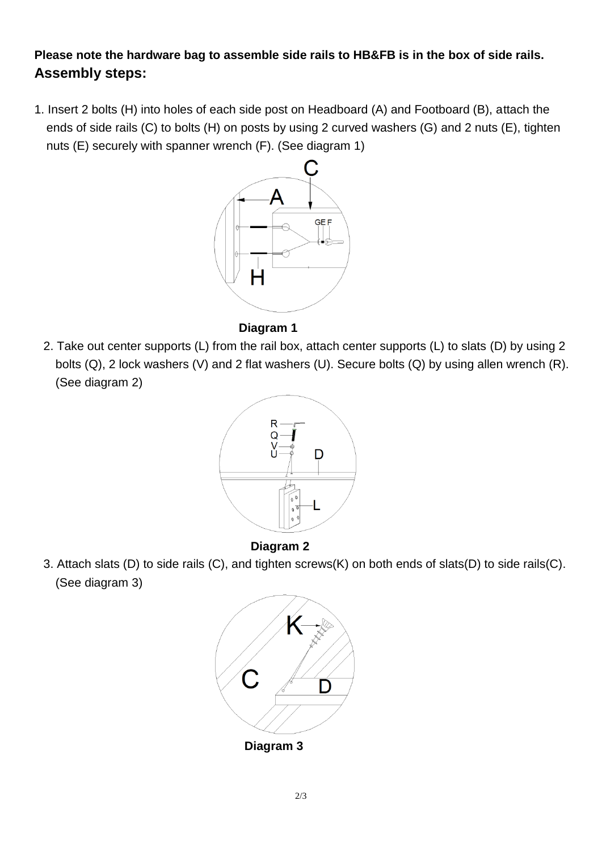**Please note the hardware bag to assemble side rails to HB&FB is in the box of side rails. Assembly steps:**

1. Insert 2 bolts (H) into holes of each side post on Headboard (A) and Footboard (B), attach the ends of side rails (C) to bolts (H) on posts by using 2 curved washers (G) and 2 nuts (E), tighten nuts (E) securely with spanner wrench (F). (See diagram 1)



## **Diagram 1**

2. Take out center supports (L) from the rail box, attach center supports (L) to slats (D) by using 2 bolts (Q), 2 lock washers (V) and 2 flat washers (U). Secure bolts (Q) by using allen wrench (R). (See diagram 2)



## **Diagram 2**

3. Attach slats (D) to side rails (C), and tighten screws(K) on both ends of slats(D) to side rails(C). (See diagram 3)